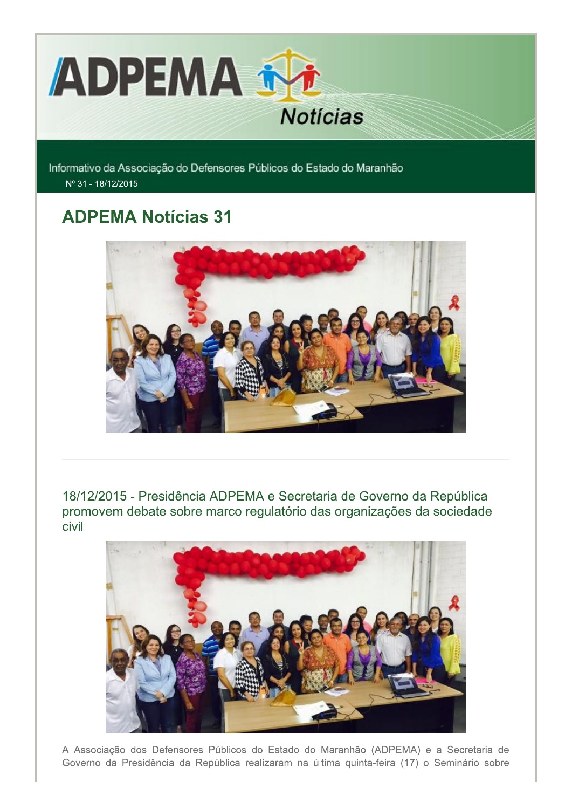

Informativo da Associação do Defensores Públicos do Estado do Maranhão Nº 31 - 18/12/2015

# **ADPEMA Notícias 31**



18/12/2015 - Presidência ADPEMA e Secretaria de Governo da República promovem debate sobre marco regulatório das organizações da sociedade civil



A Associação dos Defensores Públicos do Estado do Maranhão (ADPEMA) e a Secretaria de Governo da Presidência da República realizaram na última quinta-feira (17) o Seminário sobre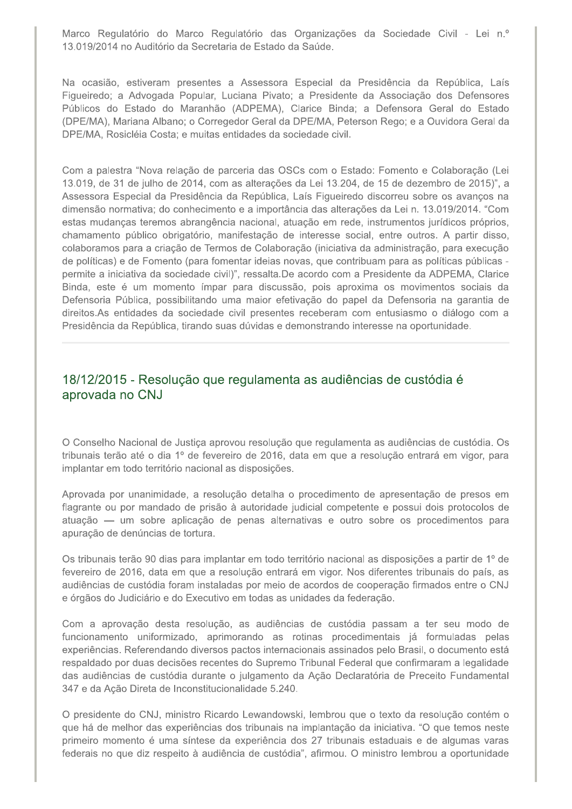Marco Regulatório do Marco Regulatório das Organizações da Sociedade Civil - Lei n.º 13.019/2014 no Auditório da Secretaria de Estado da Saúde.

Na ocasião, estiveram presentes a Assessora Especial da Presidência da República, Laís Figueiredo; a Advogada Popular, Luciana Pivato; a Presidente da Associação dos Defensores Públicos do Estado do Maranhão (ADPEMA), Clarice Binda; a Defensora Geral do Estado (DPE/MA), Mariana Albano; o Corregedor Geral da DPE/MA, Peterson Rego; e a Ouvidora Geral da DPE/MA, Rosicléia Costa; e muitas entidades da sociedade civil.

Com a palestra "Nova relação de parceria das OSCs com o Estado: Fomento e Colaboração (Lei 13.019, de 31 de julho de 2014, com as alterações da Lei 13.204, de 15 de dezembro de 2015)", a Assessora Especial da Presidência da República, Laís Figueiredo discorreu sobre os avancos na dimensão normativa; do conhecimento e a importância das alterações da Lei n. 13.019/2014. "Com estas mudanças teremos abrangência nacional, atuação em rede, instrumentos jurídicos próprios, chamamento público obrigatório, manifestação de interesse social, entre outros. A partir disso, colaboramos para a criação de Termos de Colaboração (iniciativa da administração, para execução de políticas) e de Fomento (para fomentar ideias novas, que contribuam para as políticas públicas permite a iniciativa da sociedade civil)", ressalta.De acordo com a Presidente da ADPEMA, Clarice Binda, este é um momento ímpar para discussão, pois aproxima os movimentos sociais da Defensoria Pública, possibilitando uma maior efetivação do papel da Defensoria na garantia de direitos.As entidades da sociedade civil presentes receberam com entusiasmo o diálogo com a Presidência da República, tirando suas dúvidas e demonstrando interesse na oportunidade.

## 18/12/2015 - Resolução que regulamenta as audiências de custódia é aprovada no CNJ

O Conselho Nacional de Justiça aprovou resolução que regulamenta as audiências de custódia. Os tribunais terão até o dia 1º de fevereiro de 2016, data em que a resolução entrará em vigor, para implantar em todo território nacional as disposições.

Aprovada por unanimidade, a resolução detalha o procedimento de apresentação de presos em flagrante ou por mandado de prisão à autoridade judicial competente e possui dois protocolos de atuação — um sobre aplicação de penas alternativas e outro sobre os procedimentos para apuração de denúncias de tortura.

Os tribunais terão 90 dias para implantar em todo território nacional as disposições a partir de 1º de fevereiro de 2016, data em que a resolução entrará em vigor. Nos diferentes tribunais do país, as audiências de custódia foram instaladas por meio de acordos de cooperação firmados entre o CNJ e órgãos do Judiciário e do Executivo em todas as unidades da federação.

Com a aprovação desta resolução, as audiências de custódia passam a ter seu modo de funcionamento uniformizado, aprimorando as rotinas procedimentais já formuladas pelas experiências. Referendando diversos pactos internacionais assinados pelo Brasil, o documento está respaldado por duas decisões recentes do Supremo Tribunal Federal que confirmaram a legalidade das audiências de custódia durante o julgamento da Ação Declaratória de Preceito Fundamental 347 e da Ação Direta de Inconstitucionalidade 5.240.

O presidente do CNJ, ministro Ricardo Lewandowski, lembrou que o texto da resolução contém o que há de melhor das experiências dos tribunais na implantação da iniciativa. "O que temos neste primeiro momento é uma síntese da experiência dos 27 tribunais estaduais e de algumas varas federais no que diz respeito à audiência de custódia", afirmou. O ministro lembrou a oportunidade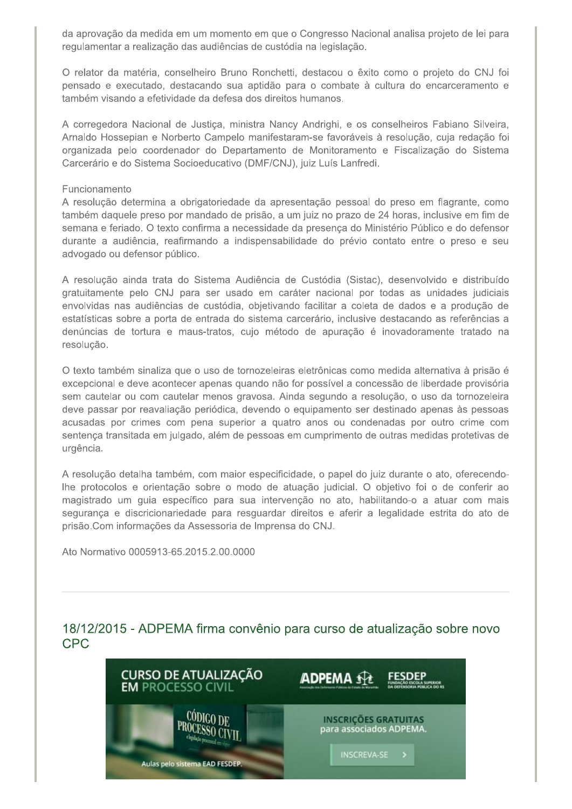da aprovação da medida em um momento em que o Congresso Nacional analisa projeto de lei para regulamentar a realização das audiências de custódia na legislação.

O relator da matéria, conselheiro Bruno Ronchetti, destacou o êxito como o projeto do CNJ foi pensado e executado, destacando sua aptidão para o combate à cultura do encarceramento e também visando a efetividade da defesa dos direitos humanos.

A corregedora Nacional de Justica, ministra Nancy Andrighi, e os conselheiros Fabiano Silveira, Arnaldo Hossepian e Norberto Campelo manifestaram-se favoráveis à resolução, cuja redação foi organizada pelo coordenador do Departamento de Monitoramento e Fiscalização do Sistema Carcerário e do Sistema Socioeducativo (DMF/CNJ), juiz Luís Lanfredi.

#### Funcionamento

A resolução determina a obrigatoriedade da apresentação pessoal do preso em flagrante, como também daquele preso por mandado de prisão, a um juiz no prazo de 24 horas, inclusive em fim de semana e feriado. O texto confirma a necessidade da presenca do Ministério Público e do defensor durante a audiência, reafirmando a indispensabilidade do prévio contato entre o preso e seu advogado ou defensor público.

A resolução ainda trata do Sistema Audiência de Custódia (Sistac), desenvolvido e distribuído gratuitamente pelo CNJ para ser usado em caráter nacional por todas as unidades judiciais envolvidas nas audiências de custódia, objetivando facilitar a coleta de dados e a produção de estatísticas sobre a porta de entrada do sistema carcerário, inclusive destacando as referências a denúncias de tortura e maus-tratos, cujo método de apuração é inovadoramente tratado na resolução.

O texto também sinaliza que o uso de tornozeleiras eletrônicas como medida alternativa à prisão é excepcional e deve acontecer apenas quando não for possível a concessão de liberdade provisória sem cautelar ou com cautelar menos gravosa. Ainda segundo a resolução, o uso da tornozeleira deve passar por reavaliação periódica, devendo o equipamento ser destinado apenas às pessoas acusadas por crimes com pena superior a quatro anos ou condenadas por outro crime com sentença transitada em julgado, além de pessoas em cumprimento de outras medidas protetivas de urgência.

A resolução detalha também, com maior especificidade, o papel do juiz durante o ato, oferecendolhe protocolos e orientação sobre o modo de atuação judicial. O objetivo foi o de conferir ao magistrado um quia específico para sua intervenção no ato, habilitando-o a atuar com mais segurança e discricionariedade para resguardar direitos e aferir a legalidade estrita do ato de prisão. Com informações da Assessoria de Imprensa do CNJ.

Ato Normativo 0005913-65.2015.2.00.0000

18/12/2015 - ADPEMA firma convênio para curso de atualização sobre novo **CPC** 

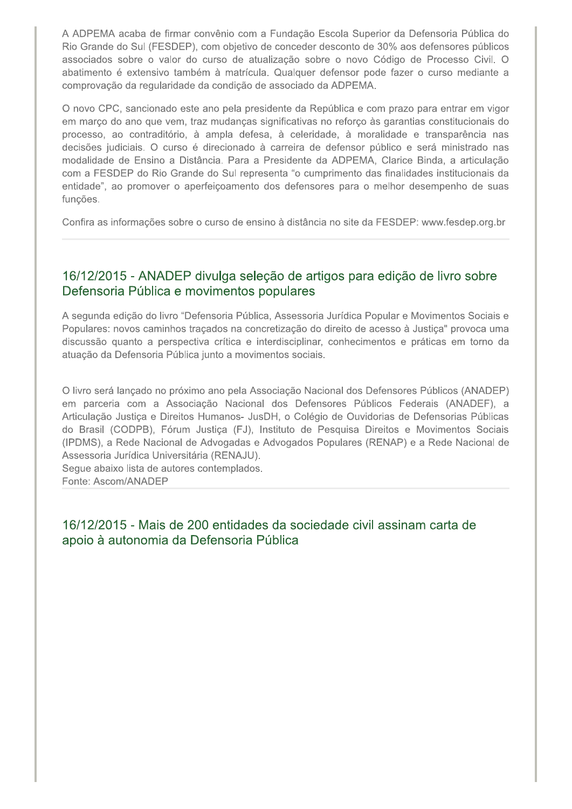A ADPEMA acaba de firmar convênio com a Fundação Escola Superior da Defensoria Pública do Rio Grande do Sul (FESDEP), com objetivo de conceder desconto de 30% aos defensores públicos associados sobre o valor do curso de atualização sobre o novo Código de Processo Civil. O abatimento é extensivo também à matrícula. Qualquer defensor pode fazer o curso mediante a comprovação da regularidade da condição de associado da ADPEMA.

O novo CPC, sancionado este ano pela presidente da República e com prazo para entrar em vigor em março do ano que vem, traz mudanças significativas no reforço às garantias constitucionais do processo, ao contraditório, à ampla defesa, à celeridade, à moralidade e transparência nas decisões judiciais. O curso é direcionado à carreira de defensor público e será ministrado nas modalidade de Ensino a Distância. Para a Presidente da ADPEMA, Clarice Binda, a articulação com a FESDEP do Rio Grande do Sul representa "o cumprimento das finalidades institucionais da entidade", ao promover o aperfeiçoamento dos defensores para o melhor desempenho de suas funções.

Confira as informações sobre o curso de ensino à distância no site da FESDEP: www.fesdep.org.br

## 16/12/2015 - ANADEP divulga seleção de artigos para edição de livro sobre Defensoria Pública e movimentos populares

A segunda edição do livro "Defensoria Pública, Assessoria Jurídica Popular e Movimentos Sociais e Populares: novos caminhos traçados na concretização do direito de acesso à Justiça" provoca uma discussão quanto a perspectiva crítica e interdisciplinar, conhecimentos e práticas em torno da atuação da Defensoria Pública junto a movimentos sociais.

O livro será lançado no próximo ano pela Associação Nacional dos Defensores Públicos (ANADEP) em parceria com a Associação Nacional dos Defensores Públicos Federais (ANADEF), a Articulação Justiça e Direitos Humanos- JusDH, o Colégio de Ouvidorias de Defensorias Públicas do Brasil (CODPB), Fórum Justiça (FJ), Instituto de Pesquisa Direitos e Movimentos Sociais (IPDMS), a Rede Nacional de Advogadas e Advogados Populares (RENAP) e a Rede Nacional de Assessoria Jurídica Universitária (RENAJU).

Seque abaixo lista de autores contemplados. Fonte: Ascom/ANADEP

16/12/2015 - Mais de 200 entidades da sociedade civil assinam carta de apoio à autonomia da Defensoria Pública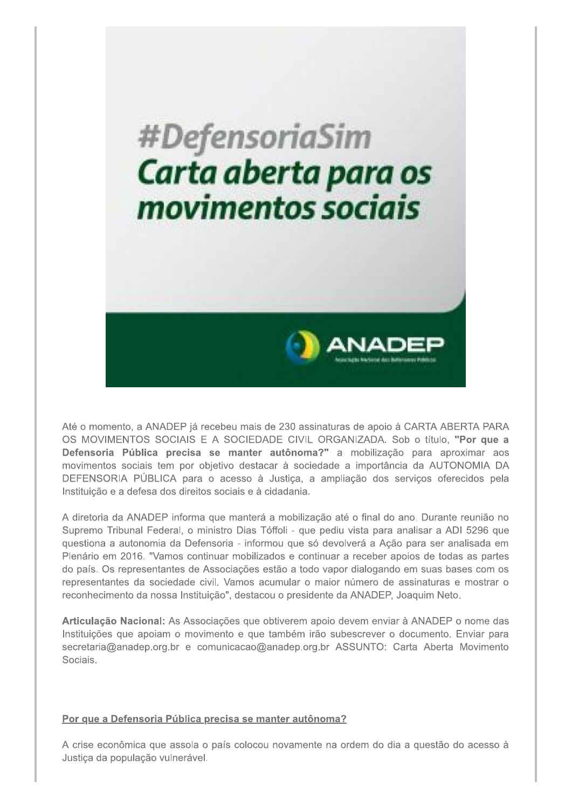

Até o momento, a ANADEP ja recebeu mais de 230 assinaturas de apoio a CARTA ABERTA PARA US MOVIMENTOS SOCIAIS E A SOCIEDADE CIVIL ORGANIZADA. SOD O título, "**Por que a** u mais de 230 assinaturas de apoio à CART/<br>OCIEDADE CIVIL ORGANIZADA. Sob o tít<br>nanter autônoma?" a mobilização para<br>o destacar à sociedade a importância da /<br>esso à Justiça, a ampliação dos serviços<br>ais e à cidadania.<br>nan Defensoria Publica precisa se manter autonoma?" a mobilização para aproximar aos movimentos sociais tem por objetivo destacar a sociedade a importancia da AUTONOMIA DA DEFENSORIA PUBLICA para o acesso a Justiça, a ampliação dos serviços oferecidos pela instituição e a defesa dos direitos sociais e a cidadania.

A diretoria da ANADEP informa que mantera a mobilização até o final do año. Durante reunião no Supremo Tribunal Federal, o ministro Dias Toffoll - que pediu vista para analisar a ADI 5296 que questiona a autonomía da Defensoria - informou que so devolvera a Ação para ser analisada em Plenario em 2016. "Vamos continuar mobilizados e continuar a receber apolos de todas as partes do país. Os representantes de Associações estão a todo vapor dialogando em suas bases com os representantes da sociedade civil. Vamos acumular o maior numero de assinaturas e mostrar o reconnecimento da nossa Instituição≅, destacou o presidente da ANADEP, Joaquim Neto.

**Articulação Nacional:** As Associações que obtiverem apolo devem enviar a ANADEP o nome das Instituições que apoiam o movimento e que também irão subescrever o documento. Enviar para  $\sec$ retaria@anadep.org.br e comunicacao@anadep.org.br ASSUNTO: Carta Aberta Movimento Sociais.

### Por que a Defensoria Pública precisa se manter autônoma?

A crise economica que assola o país colocou novamente na ordem do día a questão do acesso a Justiça da população vulheravel.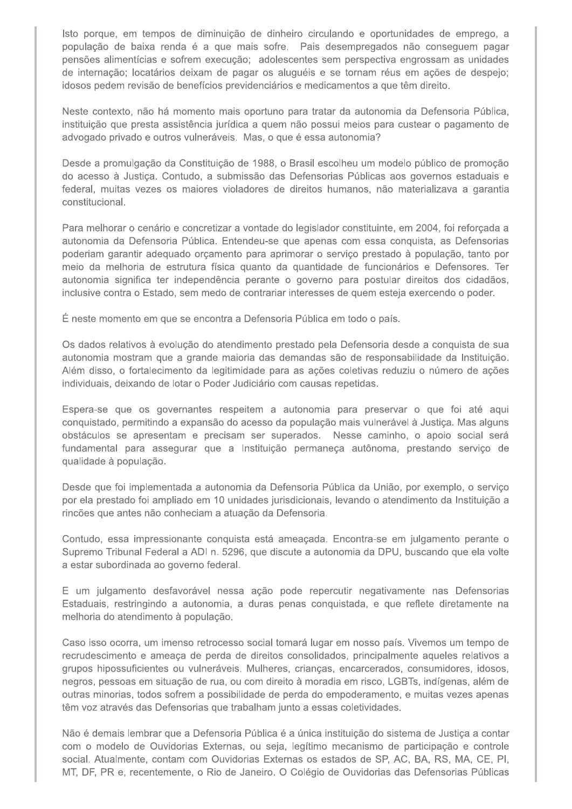Isto porque, em tempos de diminuição de dinheiro circulando e oportunidades de emprego, a população de baixa renda é a que mais sofre. Pais desempregados não conseguem pagar pensões alimentícias e sofrem execução; adolescentes sem perspectiva engrossam as unidades de internação; locatários deixam de pagar os aluguéis e se tornam réus em ações de despejo; idosos pedem revisão de benefícios previdenciários e medicamentos a que têm direito.

Neste contexto, não há momento mais oportuno para tratar da autonomia da Defensoria Pública, instituição que presta assistência jurídica a quem não possui meios para custear o pagamento de advogado privado e outros vulneráveis. Mas, o que é essa autonomia?

Desde a promulgação da Constituição de 1988, o Brasil escolheu um modelo público de promoção do acesso à Justiça. Contudo, a submissão das Defensorias Públicas aos governos estaduais e federal, muitas vezes os maiores violadores de direitos humanos, não materializava a garantia constitucional.

Para melhorar o cenário e concretizar a vontade do legislador constituinte, em 2004, foi reforçada a autonomia da Defensoria Pública. Entendeu-se que apenas com essa conquista, as Defensorias poderiam garantir adequado orçamento para aprimorar o serviço prestado à população, tanto por meio da melhoria de estrutura física quanto da quantidade de funcionários e Defensores. Ter autonomia significa ter independência perante o governo para postular direitos dos cidadãos, inclusive contra o Estado, sem medo de contrariar interesses de quem esteja exercendo o poder.

É neste momento em que se encontra a Defensoria Pública em todo o país.

Os dados relativos à evolução do atendimento prestado pela Defensoria desde a conquista de sua autonomia mostram que a grande maioria das demandas são de responsabilidade da Instituição. Além disso, o fortalecimento da legitimidade para as ações coletivas reduziu o número de ações individuais, deixando de lotar o Poder Judiciário com causas repetidas.

Espera-se que os governantes respeitem a autonomia para preservar o que foi até aqui conquistado, permitindo a expansão do acesso da população mais vulnerável à Justiça. Mas alguns obstáculos se apresentam e precisam ser superados. Nesse caminho, o apoio social será fundamental para assegurar que a Instituição permaneça autônoma, prestando serviço de qualidade à população.

Desde que foi implementada a autonomia da Defensoria Pública da União, por exemplo, o serviço por ela prestado foi ampliado em 10 unidades jurisdicionais, levando o atendimento da Instituição a rincões que antes não conheciam a atuação da Defensoria.

Contudo, essa impressionante conquista está ameaçada. Encontra-se em julgamento perante o Supremo Tribunal Federal a ADI n. 5296, que discute a autonomia da DPU, buscando que ela volte a estar subordinada ao governo federal.

E um julgamento desfavorável nessa ação pode repercutir negativamente nas Defensorias Estaduais, restringindo a autonomia, a duras penas conquistada, e que reflete diretamente na melhoria do atendimento à população.

Caso isso ocorra, um imenso retrocesso social tomará lugar em nosso país. Vivemos um tempo de recrudescimento e ameaça de perda de direitos consolidados, principalmente aqueles relativos a grupos hipossuficientes ou vulneráveis. Mulheres, crianças, encarcerados, consumidores, idosos, negros, pessoas em situação de rua, ou com direito à moradia em risco, LGBTs, indígenas, além de outras minorias, todos sofrem a possibilidade de perda do empoderamento, e muitas vezes apenas têm voz através das Defensorias que trabalham junto a essas coletividades.

Não é demais lembrar que a Defensoria Pública é a única instituição do sistema de Justica a contar com o modelo de Ouvidorias Externas, ou seja, legítimo mecanismo de participação e controle social. Atualmente, contam com Ouvidorias Externas os estados de SP, AC, BA, RS, MA, CE, PI, MT, DF, PR e, recentemente, o Rio de Janeiro. O Colégio de Ouvidorias das Defensorias Públicas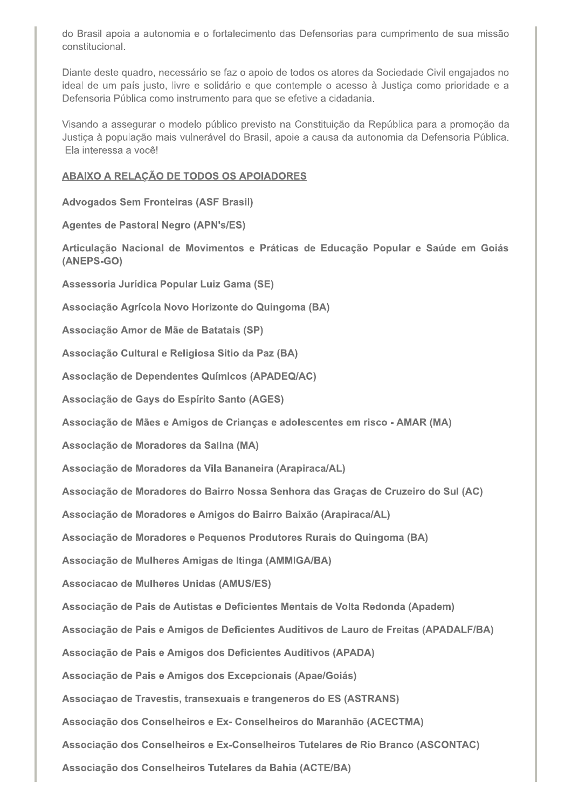do Brasil apoia a autonomia e o fortalecimento das Defensorias para cumprimento de sua missão constitucional.

Diante deste quadro, necessário se faz o apoio de todos os atores da Sociedade Civil engajados no ideal de um país justo, livre e solidário e que contemple o acesso à Justiça como prioridade e a Defensoria Pública como instrumento para que se efetive a cidadania.

Visando a assegurar o modelo público previsto na Constituição da República para a promoção da Justiça à população mais vulnerável do Brasil, apoie a causa da autonomia da Defensoria Pública. Ela interessa a você!

#### ABAIXO A RELAÇÃO DE TODOS OS APOIADORES

**Advogados Sem Fronteiras (ASF Brasil)** 

**Agentes de Pastoral Negro (APN's/ES)** 

Articulação Nacional de Movimentos e Práticas de Educação Popular e Saúde em Goiás (ANEPS-GO)

Assessoria Jurídica Popular Luiz Gama (SE)

Associação Agrícola Novo Horizonte do Quingoma (BA)

Associação Amor de Mãe de Batatais (SP)

Associação Cultural e Religiosa Sitio da Paz (BA)

Associação de Dependentes Químicos (APADEQ/AC)

Associação de Gays do Espírito Santo (AGES)

Associação de Mães e Amigos de Crianças e adolescentes em risco - AMAR (MA)

Associação de Moradores da Salina (MA)

Associação de Moradores da Vila Bananeira (Arapiraca/AL)

Associação de Moradores do Bairro Nossa Senhora das Graças de Cruzeiro do Sul (AC)

Associação de Moradores e Amigos do Bairro Baixão (Arapiraca/AL)

Associação de Moradores e Pequenos Produtores Rurais do Quingoma (BA)

Associação de Mulheres Amigas de Itinga (AMMIGA/BA)

Associacao de Mulheres Unidas (AMUS/ES)

Associação de Pais de Autistas e Deficientes Mentais de Volta Redonda (Apadem)

Associação de Pais e Amigos de Deficientes Auditivos de Lauro de Freitas (APADALF/BA)

Associação de Pais e Amigos dos Deficientes Auditivos (APADA)

Associação de Pais e Amigos dos Excepcionais (Apae/Goiás)

Associação de Travestis, transexuais e trangeneros do ES (ASTRANS)

Associação dos Conselheiros e Ex- Conselheiros do Maranhão (ACECTMA)

Associação dos Conselheiros e Ex-Conselheiros Tutelares de Rio Branco (ASCONTAC)

Associação dos Conselheiros Tutelares da Bahia (ACTE/BA)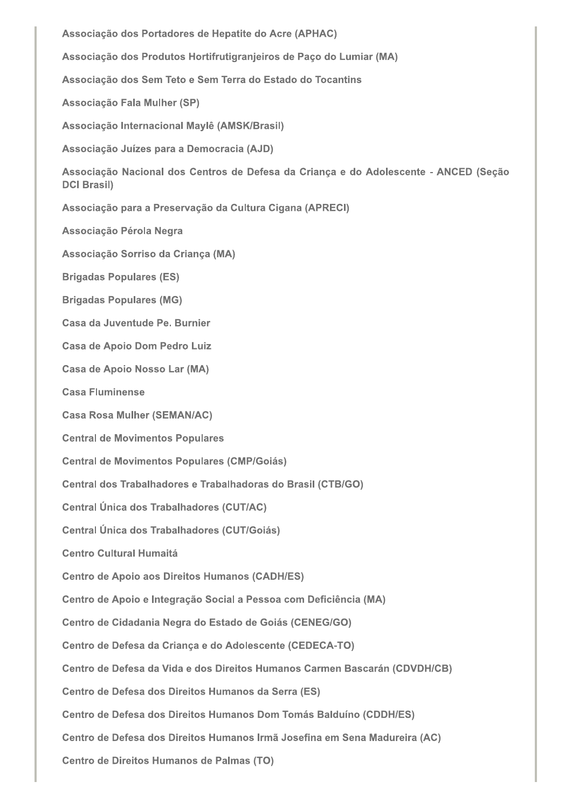Associação dos Portadores de Hepatite do Acre (APHAC) Associação dos Produtos Hortifrutigranjeiros de Paço do Lumiar (MA) Associação dos Sem Teto e Sem Terra do Estado do Tocantins Associação Fala Mulher (SP) Associação Internacional Maylê (AMSK/Brasil) Associação Juízes para a Democracia (AJD) Associação Nacional dos Centros de Defesa da Criança e do Adolescente - ANCED (Seção **DCI Brasil)** Associação para a Preservação da Cultura Cigana (APRECI) Associação Pérola Negra Associação Sorriso da Criança (MA) **Brigadas Populares (ES) Brigadas Populares (MG)** Casa da Juventude Pe. Burnier **Casa de Apoio Dom Pedro Luiz** Casa de Apoio Nosso Lar (MA) **Casa Fluminense Casa Rosa Mulher (SEMAN/AC) Central de Movimentos Populares Central de Movimentos Populares (CMP/Goiás)** Central dos Trabalhadores e Trabalhadoras do Brasil (CTB/GO) **Central Única dos Trabalhadores (CUT/AC)** Central Única dos Trabalhadores (CUT/Goiás) **Centro Cultural Humaitá Centro de Apoio aos Direitos Humanos (CADH/ES)** Centro de Apoio e Integração Social a Pessoa com Deficiência (MA) Centro de Cidadania Negra do Estado de Goiás (CENEG/GO) Centro de Defesa da Criança e do Adolescente (CEDECA-TO) Centro de Defesa da Vida e dos Direitos Humanos Carmen Bascarán (CDVDH/CB) Centro de Defesa dos Direitos Humanos da Serra (ES) Centro de Defesa dos Direitos Humanos Dom Tomás Balduíno (CDDH/ES) Centro de Defesa dos Direitos Humanos Irmã Josefina em Sena Madureira (AC) Centro de Direitos Humanos de Palmas (TO)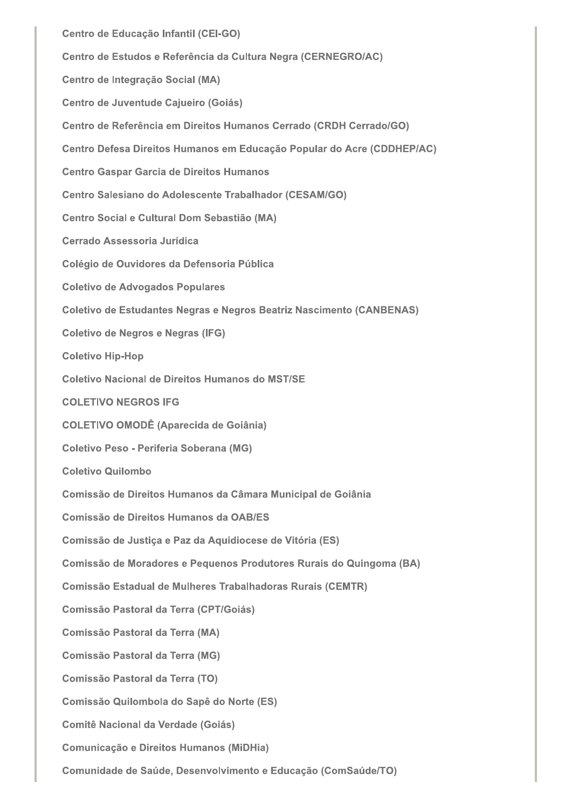Centro de Educação Infantil (CEI-GO) Centro de Estudos e Referência da Cultura Negra (CERNEGRO/AC) Centro de Integração Social (MA) Centro de Juventude Cajueiro (Goiás) Centro de Referência em Direitos Humanos Cerrado (CRDH Cerrado/GO) Centro Defesa Direitos Humanos em Educação Popular do Acre (CDDHEP/AC) **Centro Gaspar Garcia de Direitos Humanos** Centro Salesiano do Adolescente Trabalhador (CESAM/GO) Centro Social e Cultural Dom Sebastião (MA) Cerrado Assessoria Jurídica Colégio de Ouvidores da Defensoria Pública **Coletivo de Advogados Populares** Coletivo de Estudantes Negras e Negros Beatriz Nascimento (CANBENAS) Coletivo de Negros e Negras (IFG) **Coletivo Hip-Hop** Coletivo Nacional de Direitos Humanos do MST/SE **COLETIVO NEGROS IFG COLETIVO OMODÊ (Aparecida de Goiânia) Coletivo Peso - Periferia Soberana (MG) Coletivo Quilombo** Comissão de Direitos Humanos da Câmara Municipal de Goiânia Comissão de Direitos Humanos da OAB/ES Comissão de Justiça e Paz da Aquidiocese de Vitória (ES) Comissão de Moradores e Pequenos Produtores Rurais do Quingoma (BA) Comissão Estadual de Mulheres Trabalhadoras Rurais (CEMTR) **Comissão Pastoral da Terra (CPT/Goiás) Comissão Pastoral da Terra (MA) Comissão Pastoral da Terra (MG)** Comissão Pastoral da Terra (TO) Comissão Quilombola do Sapê do Norte (ES) **Comitê Nacional da Verdade (Goiás)** Comunicação e Direitos Humanos (MiDHia) Comunidade de Saúde, Desenvolvimento e Educação (ComSaúde/TO)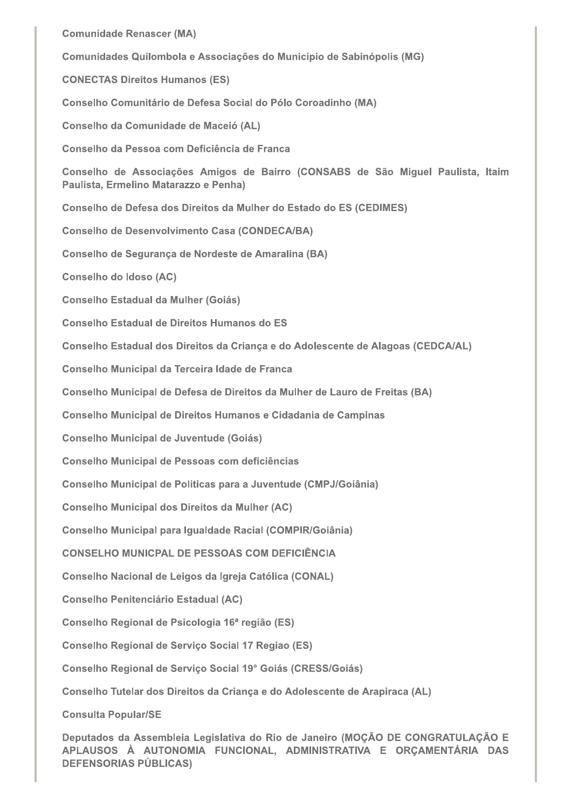**Comunidade Renascer (MA)** 

Comunidades Quilombola e Associações do Município de Sabinópolis (MG)

**CONECTAS Direitos Humanos (ES)** 

Conselho Comunitário de Defesa Social do Pólo Coroadinho (MA)

Conselho da Comunidade de Maceió (AL)

Conselho da Pessoa com Deficiência de Franca

Conselho de Associações Amigos de Bairro (CONSABS de São Miguel Paulista, Itaim Paulista, Ermelino Matarazzo e Penha)

Conselho de Defesa dos Direitos da Mulher do Estado do ES (CEDIMES)

**Conselho de Desenvolvimento Casa (CONDECA/BA)** 

Conselho de Segurança de Nordeste de Amaralina (BA)

**Conselho do Idoso (AC)** 

**Conselho Estadual da Mulher (Goiás)** 

Conselho Estadual de Direitos Humanos do ES

Conselho Estadual dos Direitos da Criança e do Adolescente de Alagoas (CEDCA/AL)

Conselho Municipal da Terceira Idade de Franca

Conselho Municipal de Defesa de Direitos da Mulher de Lauro de Freitas (BA)

Conselho Municipal de Direitos Humanos e Cidadania de Campinas

**Conselho Municipal de Juventude (Goiás)** 

Conselho Municipal de Pessoas com deficiências

Conselho Municipal de Politicas para a Juventude (CMPJ/Goiânia)

**Conselho Municipal dos Direitos da Mulher (AC)** 

Conselho Municipal para Igualdade Racial (COMPIR/Goiânia)

**CONSELHO MUNICPAL DE PESSOAS COM DEFICIÊNCIA** 

Conselho Nacional de Leigos da Igreja Católica (CONAL)

**Conselho Penitenciário Estadual (AC)** 

Conselho Regional de Psicologia 16<sup>a</sup> região (ES)

Conselho Regional de Serviço Social 17 Regiao (ES)

Conselho Regional de Serviço Social 19° Goiás (CRESS/Goiás)

Conselho Tutelar dos Direitos da Criança e do Adolescente de Arapiraca (AL)

**Consulta Popular/SE** 

Deputados da Assembleia Legislativa do Rio de Janeiro (MOÇÃO DE CONGRATULAÇÃO E APLAUSOS À AUTONOMIA FUNCIONAL, ADMINISTRATIVA E ORÇAMENTÁRIA DAS **DEFENSORIAS PÚBLICAS)**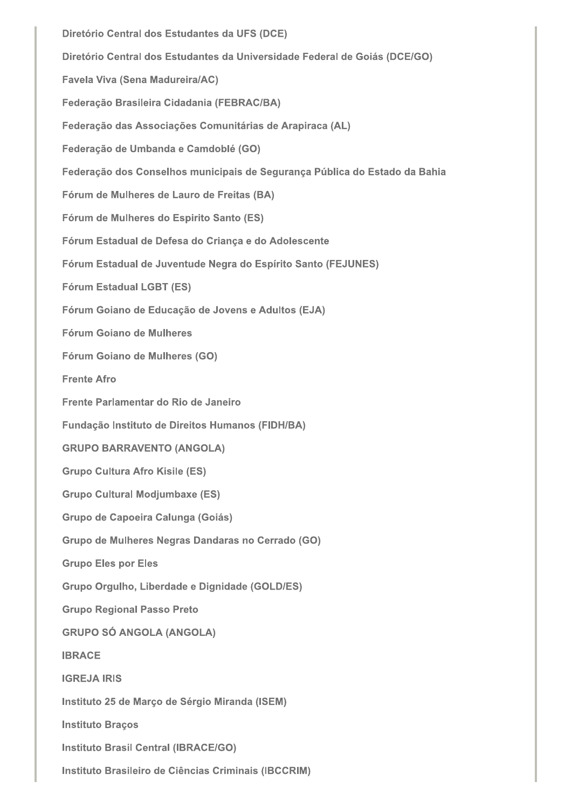Diretório Central dos Estudantes da UFS (DCE) Diretório Central dos Estudantes da Universidade Federal de Goiás (DCE/GO) Favela Viva (Sena Madureira/AC) Federação Brasileira Cidadania (FEBRAC/BA) Federação das Associações Comunitárias de Arapiraca (AL) Federação de Umbanda e Camdoblé (GO) Federação dos Conselhos municipais de Segurança Pública do Estado da Bahia Fórum de Mulheres de Lauro de Freitas (BA) Fórum de Mulheres do Espirito Santo (ES) Fórum Estadual de Defesa do Criança e do Adolescente Fórum Estadual de Juventude Negra do Espírito Santo (FEJUNES) **Fórum Estadual LGBT (ES)** Fórum Goiano de Educação de Jovens e Adultos (EJA) Fórum Goiano de Mulheres Fórum Goiano de Mulheres (GO) **Frente Afro** Frente Parlamentar do Rio de Janeiro Fundação Instituto de Direitos Humanos (FIDH/BA) **GRUPO BARRAVENTO (ANGOLA) Grupo Cultura Afro Kisile (ES) Grupo Cultural Modjumbaxe (ES)** Grupo de Capoeira Calunga (Goiás) Grupo de Mulheres Negras Dandaras no Cerrado (GO) **Grupo Eles por Eles** Grupo Orgulho, Liberdade e Dignidade (GOLD/ES) **Grupo Regional Passo Preto GRUPO SÓ ANGOLA (ANGOLA) IBRACE IGREJA IRIS** Instituto 25 de Março de Sérgio Miranda (ISEM) **Instituto Braços Instituto Brasil Central (IBRACE/GO)** Instituto Brasileiro de Ciências Criminais (IBCCRIM)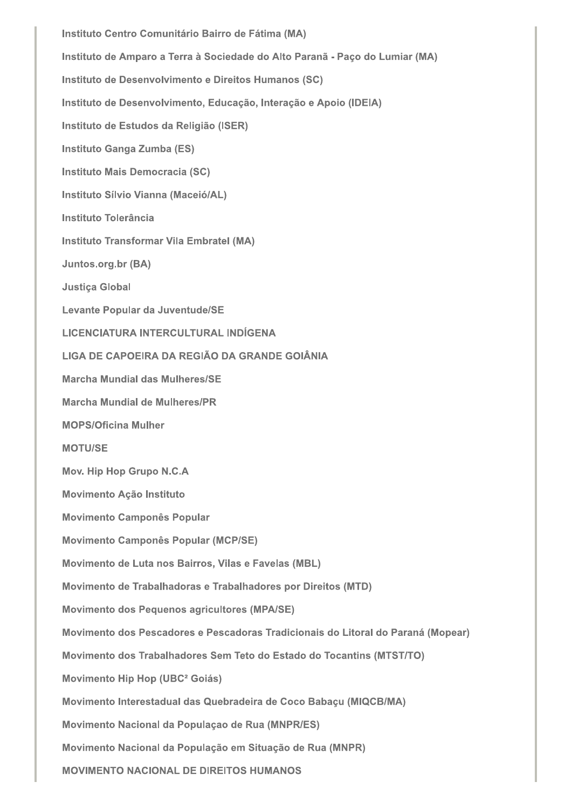Instituto Centro Comunitário Bairro de Fátima (MA) Instituto de Amparo a Terra à Sociedade do Alto Paranã - Paço do Lumiar (MA) Instituto de Desenvolvimento e Direitos Humanos (SC) Instituto de Desenvolvimento, Educação, Interação e Apoio (IDEIA) Instituto de Estudos da Religião (ISER) Instituto Ganga Zumba (ES) Instituto Mais Democracia (SC) Instituto Sílvio Vianna (Maceió/AL) Instituto Tolerância Instituto Transformar Vila Embratel (MA) Juntos.org.br (BA) **Justiça Global** Levante Popular da Juventude/SE LICENCIATURA INTERCULTURAL INDÍGENA LIGA DE CAPOEIRA DA REGIÃO DA GRANDE GOIÂNIA Marcha Mundial das Mulheres/SE Marcha Mundial de Mulheres/PR **MOPS/Oficina Mulher MOTU/SE Mov. Hip Hop Grupo N.C.A Movimento Ação Instituto Movimento Camponês Popular Movimento Camponês Popular (MCP/SE)** Movimento de Luta nos Bairros, Vilas e Favelas (MBL) Movimento de Trabalhadoras e Trabalhadores por Direitos (MTD) Movimento dos Pequenos agricultores (MPA/SE) Movimento dos Pescadores e Pescadoras Tradicionais do Litoral do Paraná (Mopear) Movimento dos Trabalhadores Sem Teto do Estado do Tocantins (MTST/TO) Movimento Hip Hop (UBC<sup>2</sup> Goiás) Movimento Interestadual das Quebradeira de Coco Babaçu (MIQCB/MA) Movimento Nacional da População de Rua (MNPR/ES) Movimento Nacional da População em Situação de Rua (MNPR) **MOVIMENTO NACIONAL DE DIREITOS HUMANOS**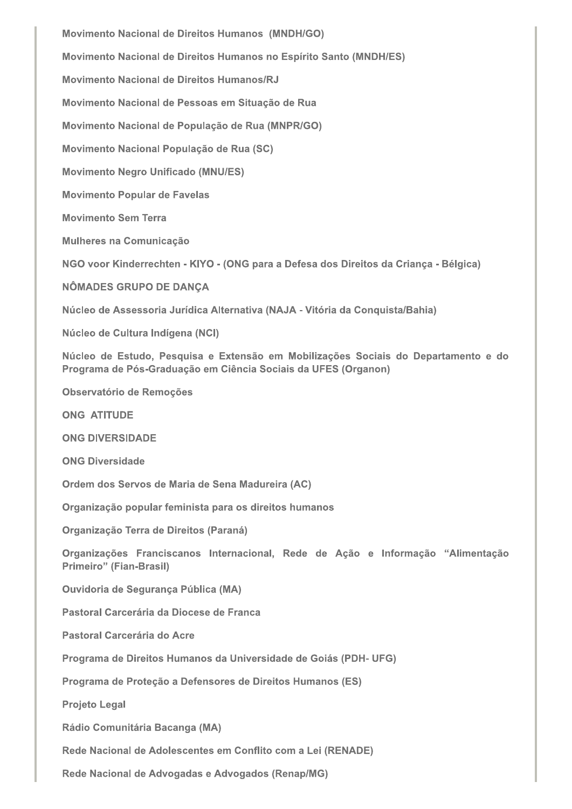Movimento Nacional de Direitos Humanos (MNDH/GO) Movimento Nacional de Direitos Humanos no Espírito Santo (MNDH/ES) Movimento Nacional de Direitos Humanos/RJ Movimento Nacional de Pessoas em Situação de Rua Movimento Nacional de População de Rua (MNPR/GO) Movimento Nacional População de Rua (SC) **Movimento Negro Unificado (MNU/ES) Movimento Popular de Favelas Movimento Sem Terra** Mulheres na Comunicação NGO voor Kinderrechten - KIYO - (ONG para a Defesa dos Direitos da Criança - Bélgica) NÔMADES GRUPO DE DANÇA Núcleo de Assessoria Jurídica Alternativa (NAJA - Vitória da Conquista/Bahia) Núcleo de Cultura Indígena (NCI) Núcleo de Estudo, Pesquisa e Extensão em Mobilizações Sociais do Departamento e do Programa de Pós-Graduação em Ciência Sociais da UFES (Organon) Observatório de Remoções **ONG ATITUDE ONG DIVERSIDADE ONG Diversidade** Ordem dos Servos de Maria de Sena Madureira (AC) Organização popular feminista para os direitos humanos Organização Terra de Direitos (Paraná) Organizações Franciscanos Internacional, Rede de Ação e Informação "Alimentação **Primeiro" (Fian-Brasil) Ouvidoria de Segurança Pública (MA)** Pastoral Carcerária da Diocese de Franca Pastoral Carcerária do Acre Programa de Direitos Humanos da Universidade de Goiás (PDH- UFG) Programa de Proteção a Defensores de Direitos Humanos (ES) **Projeto Legal** Rádio Comunitária Bacanga (MA) Rede Nacional de Adolescentes em Conflito com a Lei (RENADE)

Rede Nacional de Advogadas e Advogados (Renap/MG)